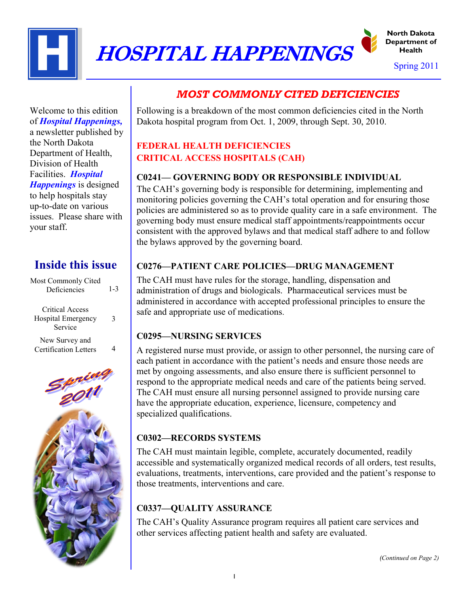

# HOSPITAL HAPPENINGS



Spring 2011

Welcome to this edition of *Hospital Happenings,* a newsletter published by the North Dakota Department of Health, Division of Health Facilities. *Hospital Happenings* is designed to help hospitals stay

up-to-date on various issues. Please share with your staff.

## **Inside this issue**

| Most Commonly Cited<br>Deficiencies              | $1 - 3$ |
|--------------------------------------------------|---------|
| Critical Access<br>Hospital Emergency<br>Service | 3       |
| New Survey and<br><b>Certification Letters</b>   |         |



## *MOST COMMONLY CITED DEFICIENCIES*

Following is a breakdown of the most common deficiencies cited in the North Dakota hospital program from Oct. 1, 2009, through Sept. 30, 2010.

## **FEDERAL HEALTH DEFICIENCIES CRITICAL ACCESS HOSPITALS (CAH)**

## **C0241— GOVERNING BODY OR RESPONSIBLE INDIVIDUAL**

The CAH's governing body is responsible for determining, implementing and monitoring policies governing the CAH's total operation and for ensuring those policies are administered so as to provide quality care in a safe environment. The governing body must ensure medical staff appointments/reappointments occur consistent with the approved bylaws and that medical staff adhere to and follow the bylaws approved by the governing board.

## **C0276—PATIENT CARE POLICIES—DRUG MANAGEMENT**

The CAH must have rules for the storage, handling, dispensation and administration of drugs and biologicals. Pharmaceutical services must be administered in accordance with accepted professional principles to ensure the safe and appropriate use of medications.

## **C0295—NURSING SERVICES**

A registered nurse must provide, or assign to other personnel, the nursing care of each patient in accordance with the patient's needs and ensure those needs are met by ongoing assessments, and also ensure there is sufficient personnel to respond to the appropriate medical needs and care of the patients being served. The CAH must ensure all nursing personnel assigned to provide nursing care have the appropriate education, experience, licensure, competency and specialized qualifications.

## **C0302—RECORDS SYSTEMS**

The CAH must maintain legible, complete, accurately documented, readily accessible and systematically organized medical records of all orders, test results, evaluations, treatments, interventions, care provided and the patient's response to those treatments, interventions and care.

## **C0337—QUALITY ASSURANCE**

The CAH's Quality Assurance program requires all patient care services and other services affecting patient health and safety are evaluated.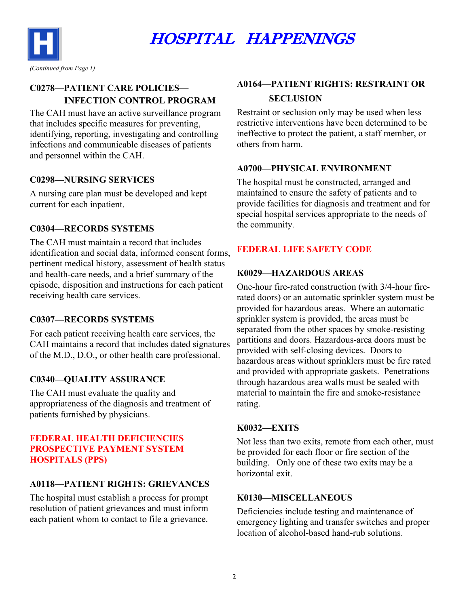

**C0278—PATIENT CARE POLICIES— INFECTION CONTROL PROGRAM**

The CAH must have an active surveillance program that includes specific measures for preventing, identifying, reporting, investigating and controlling infections and communicable diseases of patients and personnel within the CAH.

#### **C0298—NURSING SERVICES**

A nursing care plan must be developed and kept current for each inpatient.

#### **C0304—RECORDS SYSTEMS**

The CAH must maintain a record that includes identification and social data, informed consent forms, pertinent medical history, assessment of health status and health-care needs, and a brief summary of the episode, disposition and instructions for each patient receiving health care services.

#### **C0307—RECORDS SYSTEMS**

For each patient receiving health care services, the CAH maintains a record that includes dated signatures of the M.D., D.O., or other health care professional.

#### **C0340—QUALITY ASSURANCE**

The CAH must evaluate the quality and appropriateness of the diagnosis and treatment of patients furnished by physicians.

#### **FEDERAL HEALTH DEFICIENCIES PROSPECTIVE PAYMENT SYSTEM HOSPITALS (PPS)**

#### **A0118—PATIENT RIGHTS: GRIEVANCES**

The hospital must establish a process for prompt resolution of patient grievances and must inform each patient whom to contact to file a grievance.

# **A0164—PATIENT RIGHTS: RESTRAINT OR**

## **SECLUSION**

Restraint or seclusion only may be used when less restrictive interventions have been determined to be ineffective to protect the patient, a staff member, or others from harm.

#### **A0700—PHYSICAL ENVIRONMENT**

The hospital must be constructed, arranged and maintained to ensure the safety of patients and to provide facilities for diagnosis and treatment and for special hospital services appropriate to the needs of the community.

#### **FEDERAL LIFE SAFETY CODE**

#### **K0029—HAZARDOUS AREAS**

One-hour fire-rated construction (with 3/4-hour firerated doors) or an automatic sprinkler system must be provided for hazardous areas. Where an automatic sprinkler system is provided, the areas must be separated from the other spaces by smoke-resisting partitions and doors. Hazardous-area doors must be provided with self-closing devices. Doors to hazardous areas without sprinklers must be fire rated and provided with appropriate gaskets. Penetrations through hazardous area walls must be sealed with material to maintain the fire and smoke-resistance rating.

#### **K0032—EXITS**

Not less than two exits, remote from each other, must be provided for each floor or fire section of the building. Only one of these two exits may be a horizontal exit.

#### **K0130—MISCELLANEOUS**

Deficiencies include testing and maintenance of emergency lighting and transfer switches and proper location of alcohol-based hand-rub solutions.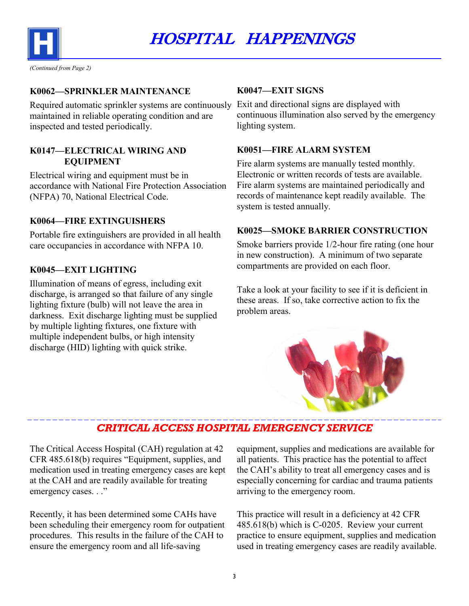

*(Continued from Page 2)*

#### **K0062—SPRINKLER MAINTENANCE**

Required automatic sprinkler systems are continuously Exit and directional signs are displayed with maintained in reliable operating condition and are inspected and tested periodically.

#### **K0147—ELECTRICAL WIRING AND EQUIPMENT**

Electrical wiring and equipment must be in accordance with National Fire Protection Association (NFPA) 70, National Electrical Code.

#### **K0064—FIRE EXTINGUISHERS**

Portable fire extinguishers are provided in all health care occupancies in accordance with NFPA 10.

#### **K0045—EXIT LIGHTING**

Illumination of means of egress, including exit discharge, is arranged so that failure of any single lighting fixture (bulb) will not leave the area in darkness. Exit discharge lighting must be supplied by multiple lighting fixtures, one fixture with multiple independent bulbs, or high intensity discharge (HID) lighting with quick strike.

#### **K0047—EXIT SIGNS**

continuous illumination also served by the emergency lighting system.

#### **K0051—FIRE ALARM SYSTEM**

Fire alarm systems are manually tested monthly. Electronic or written records of tests are available. Fire alarm systems are maintained periodically and records of maintenance kept readily available. The system is tested annually.

#### **K0025—SMOKE BARRIER CONSTRUCTION**

Smoke barriers provide 1/2-hour fire rating (one hour in new construction). A minimum of two separate compartments are provided on each floor.

Take a look at your facility to see if it is deficient in these areas. If so, take corrective action to fix the problem areas.



## *CRITICAL ACCESS HOSPITAL EMERGENCY SERVICE*

The Critical Access Hospital (CAH) regulation at 42 CFR 485.618(b) requires "Equipment, supplies, and medication used in treating emergency cases are kept at the CAH and are readily available for treating emergency cases. . ."

Recently, it has been determined some CAHs have been scheduling their emergency room for outpatient procedures. This results in the failure of the CAH to ensure the emergency room and all life-saving

equipment, supplies and medications are available for all patients. This practice has the potential to affect the CAH's ability to treat all emergency cases and is especially concerning for cardiac and trauma patients arriving to the emergency room.

This practice will result in a deficiency at 42 CFR 485.618(b) which is C-0205. Review your current practice to ensure equipment, supplies and medication used in treating emergency cases are readily available.